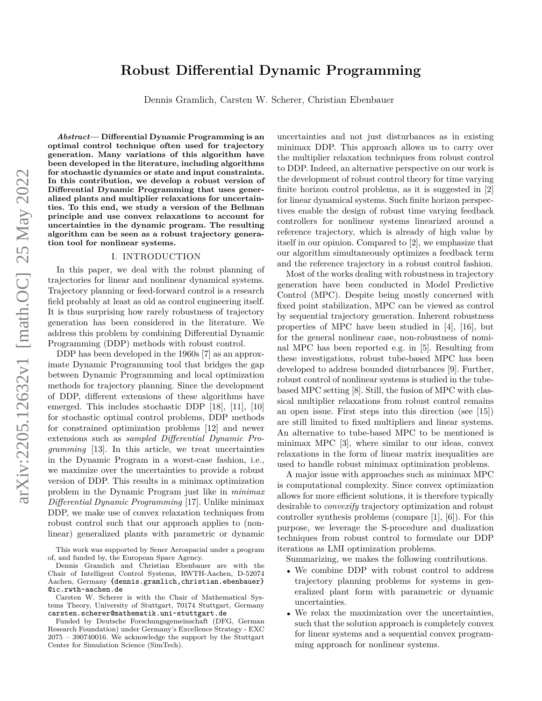# arXiv:2205.12632v1 [math.OC] 25 May 2022 arXiv:2205.12632v1 [math.OC] 25 May 2022

# **Robust Differential Dynamic Programming**

Dennis Gramlich, Carsten W. Scherer, Christian Ebenbauer

*Abstract***— Differential Dynamic Programming is an optimal control technique often used for trajectory generation. Many variations of this algorithm have been developed in the literature, including algorithms for stochastic dynamics or state and input constraints. In this contribution, we develop a robust version of Differential Dynamic Programming that uses generalized plants and multiplier relaxations for uncertainties. To this end, we study a version of the Bellman principle and use convex relaxations to account for uncertainties in the dynamic program. The resulting algorithm can be seen as a robust trajectory generation tool for nonlinear systems.**

### I. INTRODUCTION

In this paper, we deal with the robust planning of trajectories for linear and nonlinear dynamical systems. Trajectory planning or feed-forward control is a research field probably at least as old as control engineering itself. It is thus surprising how rarely robustness of trajectory generation has been considered in the literature. We address this problem by combining Differential Dynamic Programming (DDP) methods with robust control.

DDP has been developed in the 1960s [7] as an approximate Dynamic Programming tool that bridges the gap between Dynamic Programming and local optimization methods for trajectory planning. Since the development of DDP, different extensions of these algorithms have emerged. This includes stochastic DDP [18], [11], [10] for stochastic optimal control problems, DDP methods for constrained optimization problems [12] and newer extensions such as *sampled Differential Dynamic Programming* [13]. In this article, we treat uncertainties in the Dynamic Program in a worst-case fashion, i.e., we maximize over the uncertainties to provide a robust version of DDP. This results in a minimax optimization problem in the Dynamic Program just like in *minimax Differential Dynamic Programming* [17]. Unlike minimax DDP, we make use of convex relaxation techniques from robust control such that our approach applies to (nonlinear) generalized plants with parametric or dynamic

This work was supported by Sener Aerospacial under a program of, and funded by, the European Space Agency.

Carsten W. Scherer is with the Chair of Mathematical Systems Theory, University of Stuttgart, 70174 Stuttgart, Germany carsten.scherer@mathematik.uni-stuttgart.de

Funded by Deutsche Forschungsgemeinschaft (DFG, German Research Foundation) under Germany's Excellence Strategy - EXC 2075 – 390740016. We acknowledge the support by the Stuttgart Center for Simulation Science (SimTech).

uncertainties and not just disturbances as in existing minimax DDP. This approach allows us to carry over the multiplier relaxation techniques from robust control to DDP. Indeed, an alternative perspective on our work is the development of robust control theory for time varying finite horizon control problems, as it is suggested in [2] for linear dynamical systems. Such finite horizon perspectives enable the design of robust time varying feedback controllers for nonlinear systems linearized around a reference trajectory, which is already of high value by itself in our opinion. Compared to [2], we emphasize that our algorithm simultaneously optimizes a feedback term and the reference trajectory in a robust control fashion.

Most of the works dealing with robustness in trajectory generation have been conducted in Model Predictive Control (MPC). Despite being mostly concerned with fixed point stabilization, MPC can be viewed as control by sequential trajectory generation. Inherent robustness properties of MPC have been studied in [4], [16], but for the general nonlinear case, non-robustness of nominal MPC has been reported e.g. in [5]. Resulting from these investigations, robust tube-based MPC has been developed to address bounded disturbances [9]. Further, robust control of nonlinear systems is studied in the tubebased MPC setting [8]. Still, the fusion of MPC with classical multiplier relaxations from robust control remains an open issue. First steps into this direction (see [15]) are still limited to fixed multipliers and linear systems. An alternative to tube-based MPC to be mentioned is minimax MPC [3], where similar to our ideas, convex relaxations in the form of linear matrix inequalities are used to handle robust minimax optimization problems.

A major issue with approaches such as minimax MPC is computational complexity. Since convex optimization allows for more efficient solutions, it is therefore typically desirable to *convexify* trajectory optimization and robust controller synthesis problems (compare [1], [6]). For this purpose, we leverage the S-procedure and dualization techniques from robust control to formulate our DDP iterations as LMI optimization problems.

Summarizing, we makes the following contributions.

- We combine DDP with robust control to address trajectory planning problems for systems in generalized plant form with parametric or dynamic uncertainties.
- We relax the maximization over the uncertainties, such that the solution approach is completely convex for linear systems and a sequential convex programming approach for nonlinear systems.

Dennis Gramlich and Christian Ebenbauer are with the Chair of Intelligent Control Systems, RWTH-Aachen, D-52074 Aachen, Germany {dennis.gramlich, christian.ebenbauer} @ic.rwth-aachen.de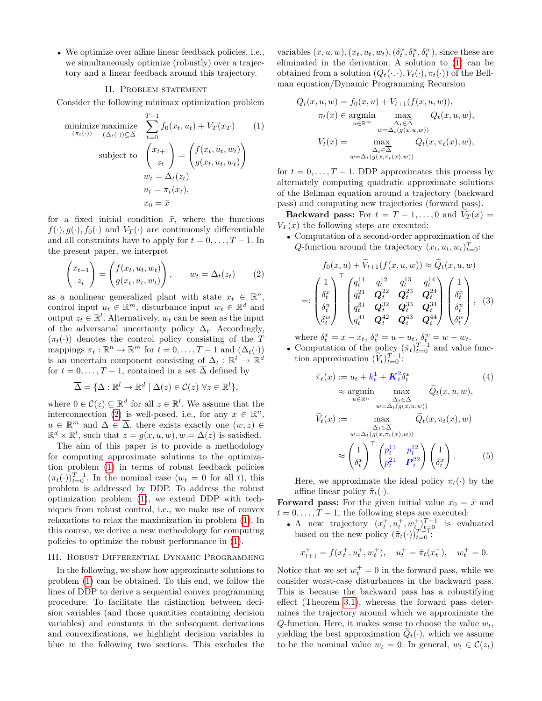• We optimize over affine linear feedback policies, i.e., we simultaneously optimize (robustly) over a trajectory and a linear feedback around this trajectory.

### II. Problem statement

Consider the following minimax optimization problem

minimize maximize 
$$
\sum_{(\pi_t(\cdot))}^{T-1} f_0(x_t, u_t) + V_T(x_T)
$$
(1)  
subject to 
$$
\begin{pmatrix} x_{t+1} \\ z_t \end{pmatrix} = \begin{pmatrix} f(x_t, u_t, w_t) \\ g(x_t, u_t, w_t) \end{pmatrix}
$$

$$
w_t = \Delta_t(z_t)
$$

$$
u_t = \pi_t(x_t),
$$

$$
x_0 = \bar{x}
$$

for a fixed initial condition  $\bar{x}$ , where the functions  $f(\cdot), g(\cdot), f_0(\cdot)$  and  $V_T(\cdot)$  are continuously differentiable and all constraints have to apply for  $t = 0, \ldots, T-1$ . In the present paper, we interpret

$$
\begin{pmatrix} x_{t+1} \\ z_t \end{pmatrix} = \begin{pmatrix} f(x_t, u_t, w_t) \\ g(x_t, u_t, w_t) \end{pmatrix}, \qquad w_t = \Delta_t(z_t) \tag{2}
$$

as a nonlinear generalized plant with state  $x_t \in \mathbb{R}^n$ , control input  $u_t \in \mathbb{R}^m$ , disturbance input  $w_t \in \mathbb{R}^d$  and output  $z_t \in \mathbb{R}^l$ . Alternatively,  $w_t$  can be seen as the input of the adversarial uncertainty policy ∆*t*. Accordingly,  $(\pi_t(\cdot))$  denotes the control policy consisting of the *T* mappings  $\pi_t : \mathbb{R}^n \to \mathbb{R}^m$  for  $t = 0, \ldots, T - 1$  and  $(\Delta_t(\cdot))$ is an uncertain component consisting of  $\Delta_t : \mathbb{R}^l \to \mathbb{R}^d$ for  $t = 0, \ldots, T-1$ , contained in a set  $\overline{\Delta}$  defined by

$$
\overline{\Delta} = \{ \Delta : \mathbb{R}^l \to \mathbb{R}^d \mid \Delta(z) \in \mathcal{C}(z) \,\,\forall z \in \mathbb{R}^l \},
$$

where  $0 \in \mathcal{C}(z) \subseteq \mathbb{R}^d$  for all  $z \in \mathbb{R}^l$ . We assume that the interconnection [\(2\)](#page-1-0) is well-posed, i.e., for any  $x \in \mathbb{R}^n$ ,  $u \in \mathbb{R}^m$  and  $\Delta \in \overline{\Delta}$ , there exists exactly one  $(w, z) \in$  $\mathbb{R}^d \times \mathbb{R}^l$ , such that  $z = g(x, u, w)$ ,  $w = \Delta(z)$  is satisfied.

The aim of this paper is to provide a methodology for computing approximate solutions to the optimization problem [\(1\)](#page-1-1) in terms of robust feedback policies  $(\pi_t(\cdot))_{t=0}^{T-1}$ . In the nominal case  $(w_t = 0$  for all *t*), this problem is addressed by DDP. To address the robust optimization problem [\(1\)](#page-1-1), we extend DDP with techniques from robust control, i.e., we make use of convex relaxations to relax the maximization in problem [\(1\)](#page-1-1). In this course, we derive a new methodology for computing policies to optimize the robust performance in [\(1\)](#page-1-1).

### III. Robust Differential Dynamic Programming

In the following, we show how approximate solutions to problem [\(1\)](#page-1-1) can be obtained. To this end, we follow the lines of DDP to derive a sequential convex programming procedure. To facilitate the distinction between decision variables (and those quantities containing decision variables) and constants in the subsequent derivations and convexifications, we highlight decision variables in blue in the following two sections. This excludes the

variables  $(x, u, w)$ ,  $(x_t, u_t, w_t)$ ,  $(\delta_t^x, \delta_t^u, \delta_t^w)$ , since these are eliminated in the derivation. A solution to [\(1\)](#page-1-1) can be obtained from a solution  $(Q_t(\cdot, \cdot), V_t(\cdot), \pi_t(\cdot))$  of the Bellman equation/Dynamic Programming Recursion

<span id="page-1-1"></span>
$$
Q_t(x, u, w) = f_0(x, u) + V_{t+1}(f(x, u, w)),
$$
  
\n
$$
\pi_t(x) \in \operatorname*{argmin}_{u \in \mathbb{R}^m} \max_{\substack{\Delta_t \in \Delta \\ w = \Delta_t(g(x, u, w))}} Q_t(x, u, w),
$$
  
\n
$$
V_t(x) = \max_{\substack{\Delta_t \in \Delta \\ \Delta_t \in \Delta}} Q_t(x, \pi_t(x), w),
$$

for  $t = 0, \ldots, T-1$ . DDP approximates this process by alternately computing quadratic approximate solutions of the Bellman equation around a trajectory (backward pass) and computing new trajectories (forward pass).

**Backward pass:** For  $t = T - 1, \ldots, 0$  and  $V_T(x) =$  $V_T(x)$  the following steps are executed:

<span id="page-1-0"></span>• Computation of a second-order approximation of the *Q*-function around the trajectory  $(x_t, u_t, w_t)_{t=0}^T$ :

<span id="page-1-3"></span>
$$
f_0(x, u) + \tilde{V}_{t+1}(f(x, u, w)) \approx \tilde{Q}_t(x, u, w)
$$
  
=: 
$$
\begin{pmatrix} 1 \\ \delta_t^x \\ \delta_t^u \\ \delta_t^w \end{pmatrix} \begin{bmatrix} q_t^{11} & q_t^{12} & q_t^{13} & q_t^{14} \\ q_t^{21} & Q_t^{22} & Q_t^{23} & Q_t^{24} \\ q_t^{31} & Q_t^{32} & Q_t^{33} & Q_t^{34} \\ q_t^{41} & Q_t^{42} & Q_t^{43} & Q_t^{44} \end{bmatrix} \begin{pmatrix} 1 \\ \delta_t^x \\ \delta_t^u \\ \delta_t^w \end{pmatrix},
$$
(3)

where  $\delta_t^x = x - x_t$ ,  $\delta_t^u = u - u_t$ ,  $\delta_t^w = w - w_t$ .

• Computation of the policy  $(\tilde{\pi}_t)_{t=0}^{T-1}$  and value function approximation  $(\widetilde{V}_t)_{t=0}^{T-1}$ :

<span id="page-1-2"></span>
$$
\tilde{\pi}_t(x) := u_t + k_t^1 + K_t^2 \delta_t^x \qquad (4)
$$
\n
$$
\approx \underset{u \in \mathbb{R}^n}{\text{argmin}} \max_{\substack{\Delta_t \in \Delta \\ w = \Delta_t(g(x, u, w))}} \tilde{Q}_t(x, u, w),
$$
\n
$$
\tilde{V}_t(x) := \underset{\substack{\Delta_t \in \Delta \\ w = \Delta_t(g(x, \pi_t(x), w))}}{\text{max}} \tilde{Q}_t(x, \pi_t(x), w)
$$
\n
$$
\approx \left(\frac{1}{\delta_t^x}\right)^\top \left(\frac{p_t^{11}}{p_t^{21}} \frac{p_t^{12}}{P_t^2}\right) \left(\frac{1}{\delta_t^x}\right). \qquad (5)
$$

Here, we approximate the ideal policy  $\pi_t(\cdot)$  by the affine linear policy  $\tilde{\pi}_t(\cdot)$ .

**Forward pass:** For the given initial value  $x_0 = \bar{x}$  and  $t = 0, \ldots, T - 1$ , the following steps are executed:

• A new trajectory  $(x_t^+, u_t^+, w_{t_u}^+)^{T-1}_{t=0}$  is evaluated based on the new policy  $(\tilde{\pi}_t(\cdot))_{t=0}^{T-1}$ :

$$
x_{t+1}^+ = f(x_t^+, u_t^+, w_t^+), \quad u_t^+ = \tilde{\pi}_t(x_t^+), \quad w_t^+ = 0.
$$

Notice that we set  $w_t^+ = 0$  in the forward pass, while we consider worst-case disturbances in the backward pass. This is because the backward pass has a robustifying effect (Theorem [3.1\)](#page-3-0), whereas the forward pass determines the trajectory around which we approximate the *Q*-function. Here, it makes sense to choose the value  $w_t$ , yielding the best approximation  $Q_t(\cdot)$ , which we assume to be the nominal value  $w_t = 0$ . In general,  $w_t \in C(z_t)$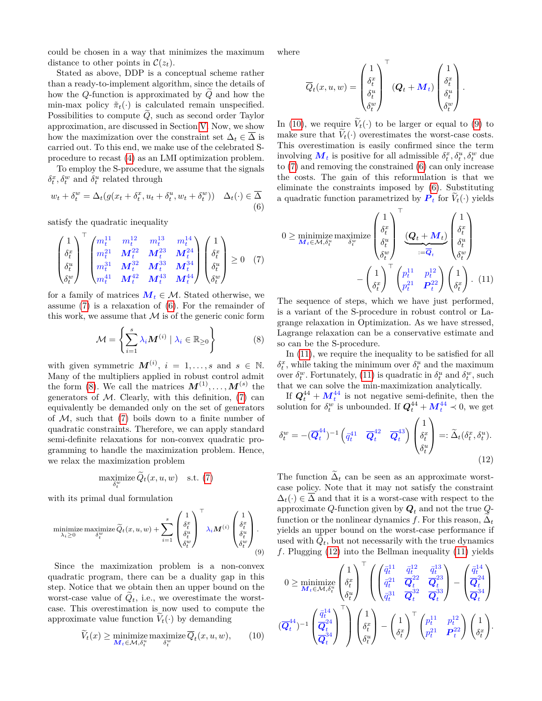could be chosen in a way that minimizes the maximum distance to other points in  $\mathcal{C}(z_t)$ .

Stated as above, DDP is a conceptual scheme rather than a ready-to-implement algorithm, since the details of how the *Q*-function is approximated by *Q* and how the min-max policy  $\tilde{\pi}_t(\cdot)$  is calculated remain unspecified. Possibilities to compute  $\ddot{Q}$ , such as second order Taylor approximation, are discussed in Section [V.](#page-5-0) Now, we show how the maximization over the constraint set  $\Delta_t \in \Delta$  is carried out. To this end, we make use of the celebrated Sprocedure to recast [\(4\)](#page-1-2) as an LMI optimization problem.

To employ the S-procedure, we assume that the signals  $\delta_t^x$ ,  $\delta_t^w$  and  $\delta_t^u$  related through

$$
w_t + \delta_t^w = \Delta_t(g(x_t + \delta_t^x, u_t + \delta_t^u, w_t + \delta_t^w)) \quad \Delta_t(\cdot) \in \overline{\Delta}
$$
\n(6)

satisfy the quadratic inequality

$$
\begin{pmatrix} 1 \\ \delta_t^x \\ \delta_t^u \\ \delta_t^w \end{pmatrix}^\top \begin{pmatrix} m_t^{11} & m_t^{12} & m_t^{13} & m_t^{14} \\ m_t^{21} & M_t^{22} & M_t^{23} & M_t^{24} \\ m_t^{31} & M_t^{32} & M_t^{33} & M_t^{34} \\ m_t^{41} & M_t^{42} & M_t^{43} & M_t^{44} \end{pmatrix} \begin{pmatrix} 1 \\ \delta_t^x \\ \delta_t^w \\ \delta_t^w \end{pmatrix} \geq 0 \quad (7)
$$

for a family of matrices  $M_t \in \mathcal{M}$ . Stated otherwise, we assume [\(7\)](#page-2-0) is a relaxation of [\(6\)](#page-2-1). For the remainder of this work, we assume that  $M$  is of the generic conic form

$$
\mathcal{M} = \left\{ \sum_{i=1}^{s} \lambda_i \mathbf{M}^{(i)} \mid \lambda_i \in \mathbb{R}_{\geq 0} \right\}
$$
 (8)

with given symmetric  $M^{(i)}$ ,  $i = 1, \ldots, s$  and  $s \in \mathbb{N}$ . Many of the multipliers applied in robust control admit the form [\(8\)](#page-2-2). We call the matrices  $M^{(1)}, \ldots, M^{(s)}$  the generators of  $M$ . Clearly, with this definition, [\(7\)](#page-2-0) can equivalently be demanded only on the set of generators of  $M$ , such that  $(7)$  boils down to a finite number of quadratic constraints. Therefore, we can apply standard semi-definite relaxations for non-convex quadratic programming to handle the maximization problem. Hence, we relax the maximization problem

$$
\underset{\delta_t^w}{\text{maximize}} \, \widetilde{Q}_t(x, u, w) \quad \text{s.t.} \tag{7}
$$

with its primal dual formulation

$$
\underset{\lambda_i \geq 0}{\text{minimize}} \ \underset{\delta_t^w}{\text{maximize}} \ \widetilde{Q}_t(x, u, w) + \sum_{i=1}^s \begin{pmatrix} 1 \\ \delta_t^x \\ \delta_t^u \\ \delta_t^w \end{pmatrix}^\top \lambda_i \mathbf{M}^{(i)} \begin{pmatrix} 1 \\ \delta_t^x \\ \delta_t^u \\ \delta_t^w \end{pmatrix}.
$$

Since the maximization problem is a non-convex quadratic program, there can be a duality gap in this step. Notice that we obtain then an upper bound on the worst-case value of  $Q_t$ , i.e., we overestimate the worstcase. This overestimation is now used to compute the approximate value function  $V_t(\cdot)$  by demanding

$$
\widetilde{V}_t(x) \ge \min_{\mathbf{M}_t \in \mathcal{M}, \delta_t^u} \max_{\delta_t^w} \text{maximize } \overline{Q}_t(x, u, w), \qquad (10)
$$

where

$$
\overline{Q}_t(x, u, w) = \begin{pmatrix} 1 \\ \delta_t^x \\ \delta_t^u \\ \delta_t^w \end{pmatrix}^\top (\mathbf{Q}_t + \mathbf{M}_t) \begin{pmatrix} 1 \\ \delta_t^x \\ \delta_t^u \\ \delta_t^w \end{pmatrix}.
$$

In [\(10\)](#page-2-3), we require  $V_t(\cdot)$  to be larger or equal to [\(9\)](#page-2-4) to make sure that  $V_t(\cdot)$  overestimates the worst-case costs. This overestimation is easily confirmed since the term involving  $\mathbf{M}_t$  is positive for all admissible  $\delta_t^x, \delta_t^u, \delta_t^w$  due to [\(7\)](#page-2-0) and removing the constrained [\(6\)](#page-2-1) can only increase the costs. The gain of this reformulation is that we eliminate the constraints imposed by [\(6\)](#page-2-1). Substituting a quadratic function parametrized by  $P_t$  for  $V_t(\cdot)$  yields

<span id="page-2-1"></span><span id="page-2-0"></span>
$$
0 \geq \underset{\mathcal{M}_{t} \in \mathcal{M}, \delta_{t}^{u}}{\text{minimize maximize}} \left(\begin{array}{c} 1\\ \delta_{t}^{x} \\ \delta_{t}^{u} \end{array}\right)^{\top} \underbrace{\left(\mathcal{Q}_{t} + \mathcal{M}_{t}\right)}_{:=\overline{\mathcal{Q}}_{t}} \left(\begin{array}{c} 1\\ \delta_{t}^{x} \\ \delta_{t}^{u} \end{array}\right) \\ - \left(\begin{array}{c} 1\\ \delta_{t}^{x} \end{array}\right)^{\top} \left(\begin{array}{cc} p_{t}^{11} & p_{t}^{12} \\ p_{t}^{21} & P_{t}^{22} \end{array}\right) \left(\begin{array}{c} 1\\ \delta_{t}^{x} \end{array}\right). (11)
$$

<span id="page-2-5"></span>The sequence of steps, which we have just performed, is a variant of the S-procedure in robust control or Lagrange relaxation in Optimization. As we have stressed, Lagrange relaxation can be a conservative estimate and so can be the S-procedure.

<span id="page-2-2"></span>In [\(11\)](#page-2-5), we require the inequality to be satisfied for all  $\delta_t^x$ , while taking the minimum over  $\delta_t^u$  and the maximum over  $\delta_t^w$ . Fortunately, [\(11\)](#page-2-5) is quadratic in  $\delta_t^u$  and  $\delta_t^w$ , such that we can solve the min-maximization analytically.

If  $Q_t^{44} + M_t^{44}$  is not negative semi-definite, then the solution for  $\delta_t^w$  is unbounded. If  $Q_t^{44} + M_t^{44} \prec 0$ , we get

<span id="page-2-6"></span>
$$
\delta_t^w = -(\overline{\mathbf{Q}}_t^{44})^{-1} \begin{pmatrix} \overline{q}_t^{41} & \overline{\mathbf{Q}}_t^{42} & \overline{\mathbf{Q}}_t^{43} \end{pmatrix} \begin{pmatrix} 1 \\ \delta_t^x \\ \delta_t^u \end{pmatrix} =: \widetilde{\Delta}_t(\delta_t^x, \delta_t^u). \tag{12}
$$

The function  $\Delta_t$  can be seen as an approximate worstcase policy. Note that it may not satisfy the constraint  $\Delta_t(\cdot) \in \Delta$  and that it is a worst-case with respect to the approximate *Q*-function given by *Q<sup>t</sup>* and not the true *Q*function or the nonlinear dynamics  $f$ . For this reason,  $\Delta_t$ yields an upper bound on the worst-case performance if used with  $Q_t$ , but not necessarily with the true dynamics *f*. Plugging [\(12\)](#page-2-6) into the Bellman inequality [\(11\)](#page-2-5) yields

<span id="page-2-4"></span><span id="page-2-3"></span>
$$
0 \geq \underset{\mathbf{M}_{t} \in \mathcal{M}, \delta_{t}^{u}}{\text{minimize}} \begin{pmatrix} 1 \\ \delta_{t}^{x} \\ \delta_{t}^{u} \end{pmatrix}^{\top} \left( \begin{pmatrix} \bar{q}_{t}^{11} & \bar{q}_{t}^{12} & \bar{q}_{t}^{13} \\ \bar{q}_{t}^{21} & \bar{Q}_{t}^{22} & \bar{Q}_{t}^{23} \\ \bar{q}_{t}^{31} & \bar{Q}_{t}^{32} & \bar{Q}_{t}^{33} \end{pmatrix} - \begin{pmatrix} \bar{q}_{t}^{14} \\ \bar{Q}_{t}^{24} \\ \bar{Q}_{t}^{34} \end{pmatrix} \right)
$$

$$
(\overline{Q}_{t}^{44})^{-1} \begin{pmatrix} \bar{q}_{t}^{14} \\ \bar{Q}_{t}^{24} \\ \bar{Q}_{t}^{34} \end{pmatrix}^{\top} \left) \begin{pmatrix} 1 \\ \delta_{t}^{x} \\ \delta_{t}^{u} \end{pmatrix} - \begin{pmatrix} 1 \\ \delta_{t}^{x} \end{pmatrix}^{\top} \begin{pmatrix} p_{t}^{11} & p_{t}^{12} \\ p_{t}^{21} & \mathbf{P}_{t}^{22} \end{pmatrix} \begin{pmatrix} 1 \\ \delta_{t}^{x} \end{pmatrix}.
$$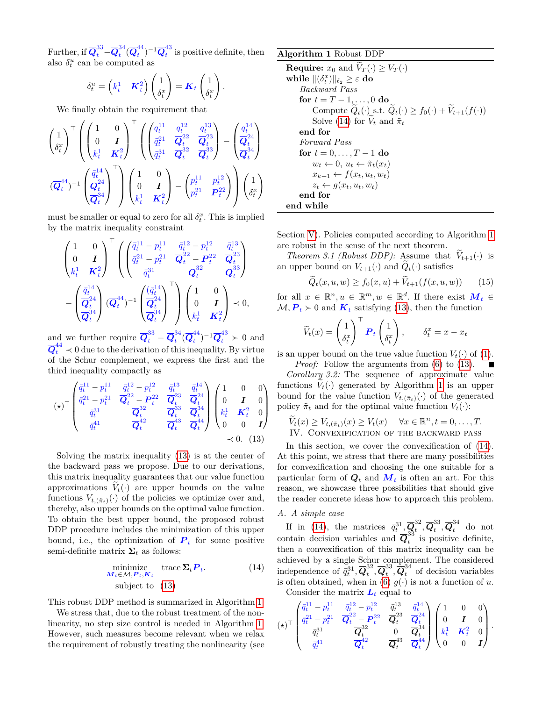Further, if  $\overline{\bm{Q}}^{33}_t$  –  $\overline{\bm{Q}}^{34}_t$  $\frac{^{34}}{^{t}(\overline{\boldsymbol{Q}}_t^{44})$  $\overline{Q}_t^{44}\big)^{-1}\overline{Q}_t^{43}$  $\frac{1}{t}$  is positive definite, then also  $\delta_t^u$  can be computed as

$$
\delta_t^u = \begin{pmatrix} k_t^1 & \boldsymbol{K}_t^2 \end{pmatrix} \begin{pmatrix} 1 \\ \delta_t^x \end{pmatrix} = \boldsymbol{K}_t \begin{pmatrix} 1 \\ \delta_t^x \end{pmatrix}
$$

*.*

We finally obtain the requirement that

$$
\begin{aligned} \begin{pmatrix} 1 \\ \delta_t^x \end{pmatrix}^\top \begin{pmatrix} \begin{pmatrix} 1 & 0 \\ 0 & I \end{pmatrix}^\top \begin{pmatrix} \begin{pmatrix} \bar{q}_t^{11} & \bar{q}_t^{12} & \bar{q}_t^{13} \\ \bar{q}_t^{21} & \bar{Q}_t^2 & \bar{Q}_t^2 \\ \bar{q}_t^{31} & \bar{Q}_t^{32} & \bar{Q}_t^{33} \end{pmatrix} - \begin{pmatrix} \bar{q}_t^{14} \\ \bar{Q}_t^{24} \\ \bar{Q}_t^{34} \end{pmatrix} \\ (\overline{Q}_t^{44})^{-1} \begin{pmatrix} \frac{\bar{q}_t^{14}}{Q_t^2} \\ \overline{Q}_t^{34} \end{pmatrix}^\top \end{pmatrix} \begin{pmatrix} 1 & 0 \\ 0 & I \\ k_t^1 & K_t^2 \end{pmatrix} - \begin{pmatrix} p_t^{11} & p_t^{12} \\ p_t^{21} & P_t^{22} \end{pmatrix} \end{pmatrix} \begin{pmatrix} 1 \\ \delta_t^x \end{pmatrix} \end{aligned}
$$

must be smaller or equal to zero for all  $\delta_t^x$ . This is implied by the matrix inequality constraint

$$
\begin{pmatrix} 1 & 0 \\ 0 & \boldsymbol{I} \\ k_t^1 & K_t^2 \end{pmatrix}^\top \left( \begin{pmatrix} \bar{q}_t^{11} - p_t^{11} & \bar{q}_t^{12} - p_t^{12} & \bar{q}_t^{13} \\ \bar{q}_t^{21} - p_t^{21} & \bar{Q}_t^2 - P_t^{22} & \bar{Q}_t^2 \\ \bar{q}_t^{31} & \bar{Q}_t^{32} & \bar{Q}_t^{33} \end{pmatrix} - \begin{pmatrix} \bar{q}_t^{14} \\ \bar{Q}_t^{24} \\ \bar{Q}_t^{34} \end{pmatrix} (\overline{Q}_t^{44})^{-1} \begin{pmatrix} (\bar{q}_t^{14} \\ \bar{Q}_t^{24} \\ \bar{Q}_t^{34} \end{pmatrix}^\top \right) \begin{pmatrix} 1 & 0 \\ 0 & \boldsymbol{I} \\ k_t^1 & K_t^2 \end{pmatrix} \prec 0,
$$

and we further require  $\overline{Q}_t^{33} - \overline{Q}_t^{34}$  $\frac{^{34}}{^{t}(\overline{\boldsymbol{Q}}_{t}^{44})$  $\frac{44}{t}$ )<sup>-1</sup> $\overline{Q}_t^{43}$   $\succ$  0 and  $\overline{Q}^{44}_t$   $\prec$  0 due to the derivation of this inequality. By virtue of the Schur complement, we express the first and the third inequality compactly as

$$
(\star)^{\top} \begin{pmatrix} \bar{q}_t^{11} - p_t^{11} & \bar{q}_t^{12} - p_t^{12} & \bar{q}_t^{13} & \bar{q}_t^{14} \\ \bar{q}_t^{21} - p_t^{21} & \bar{Q}_t^{22} - P_t^{22} & \bar{Q}_t^{23} & \bar{Q}_t^{24} \\ \bar{q}_t^{31} & \bar{Q}_t^{32} & \bar{Q}_t^{33} & \bar{Q}_t^{34} \\ \bar{q}_t^{41} & \bar{Q}_t^{42} & \bar{Q}_t^{43} & \bar{Q}_t^{44} \end{pmatrix} \begin{pmatrix} 1 & 0 & 0 \\ 0 & I & 0 \\ k_t^1 & K_t^2 & 0 \\ 0 & 0 & I \end{pmatrix}
$$
  

$$
\prec 0. (13)
$$

Solving the matrix inequality [\(13\)](#page-3-1) is at the center of the backward pass we propose. Due to our derivations, this matrix inequality guarantees that our value function approximations  $V_t(\cdot)$  are upper bounds on the value functions  $V_{t,(\tilde{\pi}_t)}(\cdot)$  of the policies we optimize over and, thereby, also upper bounds on the optimal value function. To obtain the best upper bound, the proposed robust DDP procedure includes the minimization of this upper bound, i.e., the optimization of  $P_t$  for some positive semi-definite matrix  $\Sigma_t$  as follows:

$$
\begin{array}{ll}\n\text{minimize} & \text{trace } \Sigma_t P_t. \\
M_t \in \mathcal{M}, P_t, K_t \\
\text{subject to} & (13)\n\end{array} \tag{14}
$$

This robust DDP method is summarized in Algorithm [1.](#page-3-2)

We stress that, due to the robust treatment of the nonlinearity, no step size control is needed in Algorithm [1.](#page-3-2) However, such measures become relevant when we relax the requirement of robustly treating the nonlinearity (see

# <span id="page-3-2"></span>**Algorithm 1** Robust DDP

**Required**: 
$$
x_0
$$
 and  $\hat{V}_T(\cdot) \ge V_T(\cdot)$   
\n**while**  $\|(\delta_t^x)\|_{\ell_2} \ge \varepsilon$  **do**  
\n*Backward Pass*  
\n**for**  $t = T - 1, ..., 0$  **do**  
\nCompute  $\tilde{Q}_t(\cdot)$  s.t.  $\tilde{Q}_t(\cdot) \ge f_0(\cdot) + \tilde{V}_{t+1}(f(\cdot))$   
\nSolve (14) for  $\tilde{V}_t$  and  $\tilde{\pi}_t$   
\n**end for**  
\n*Forward Pass*  
\n**for**  $t = 0, ..., T - 1$  **do**  
\n $w_t \leftarrow 0, u_t \leftarrow \tilde{\pi}_t(x_t)$   
\n $x_{k+1} \leftarrow f(x_t, u_t, w_t)$   
\n $z_t \leftarrow g(x_t, u_t, w_t)$   
\n**end for**  
\n**end while**

Section [V\)](#page-5-0). Policies computed according to Algorithm [1](#page-3-2) are robust in the sense of the next theorem.

<span id="page-3-0"></span>*Theorem 3.1 (Robust DDP):* Assume that  $V_{t+1}(\cdot)$  is an upper bound on  $V_{t+1}(\cdot)$  and  $Q_t(\cdot)$  satisfies

<span id="page-3-6"></span>
$$
Q_t(x, u, w) \ge f_0(x, u) + V_{t+1}(f(x, u, w)) \qquad (15)
$$

for all  $x \in \mathbb{R}^n, u \in \mathbb{R}^m, w \in \mathbb{R}^d$ . If there exist  $M_t \in$  $M, P_t \succ 0$  and  $K_t$  satisfying [\(13\)](#page-3-1), then the function

$$
\widetilde{V}_t(x) = \begin{pmatrix} 1 \\ \delta_t^x \end{pmatrix}^\top \boldsymbol{P}_t \begin{pmatrix} 1 \\ \delta_t^x \end{pmatrix}, \qquad \delta_t^x = x - x_t
$$

is an upper bound on the true value function  $V_t(\cdot)$  of [\(1\)](#page-1-1).

<span id="page-3-5"></span>*Proof:* Follow the arguments from [\(6\)](#page-2-1) to [\(13\)](#page-3-1). *Corollary 3.2:* The sequence of approximate value functions  $V_t(\cdot)$  generated by Algorithm [1](#page-3-2) is an upper bound for the value function  $V_{t,(\tilde{\pi}_t)}(\cdot)$  of the generated policy  $\tilde{\pi}_t$  and for the optimal value function  $V_t(\cdot)$ :

$$
\widetilde{V}_t(x) \ge V_{t, (\tilde{\pi}_t)}(x) \ge V_t(x) \quad \forall x \in \mathbb{R}^n, t = 0, \dots, T.
$$
  
IV. CONVEXIFICATION OF THE BACKWARD PASS

<span id="page-3-1"></span>In this section, we cover the convexification of  $(14)$ . At this point, we stress that there are many possibilities for convexification and choosing the one suitable for a particular form of  $Q_t$  and  $M_t$  is often an art. For this reason, we showcase three possibilities that should give the reader concrete ideas how to approach this problem.

### <span id="page-3-4"></span>*A. A simple case*

<span id="page-3-3"></span>If in [\(14\)](#page-3-3), the matrices  $\bar{q}_t^{31}, \bar{Q}_t^{32}$  $\overline{Q}_t^{33}, \overline{Q}_t^{33}$  $t^{33}, \overline{\mathbf{Q}}_t^{34}$  do not contain decision variables and  $\overline{Q}_t^{33}$  $\frac{1}{t}$  is positive definite, then a convexification of this matrix inequality can be achieved by a single Schur complement. The considered independence of  $\overline{\vec{q}_t}^{31}, \overline{\mathbf{Q}}_t^{32}$  $_{t}^{32}, \overline{\boldsymbol{Q}}_{t}^{33}$  $t^{33}, \overline{Q}_t^{34}$  of decision variables is often obtained, when in [\(6\)](#page-2-1)  $g(\cdot)$  is not a function of  $u$ . Consider the matrix  $L_t$  equal to

$$
(\star)^\top \begin{pmatrix} \bar{q}_t^{11}-p_t^{11} & \bar{q}_t^{12}-p_t^{12} & \bar{q}_t^{13} & \bar{q}_t^{14} \\ \bar{q}_t^{21}-p_t^{21} & \bar{Q}_t^{22}-\bm{P}_t^{22} & \bar{Q}_t^{23} & \bar{Q}_t^{24} \\ \bar{q}_t^{31} & \bar{Q}_t^{32} & 0 & \bar{Q}_t^{34} \\ \bar{q}_t^{41} & \bar{Q}_t^{42} & \bar{Q}_t^{43} & \bar{Q}_t^{44} \end{pmatrix} \begin{pmatrix} 1 & 0 & 0 \\ 0 & \bm{I} & 0 \\ k_t^1 & \bm{K}_t^2 & 0 \\ 0 & 0 & \bm{I} \end{pmatrix}
$$

*.*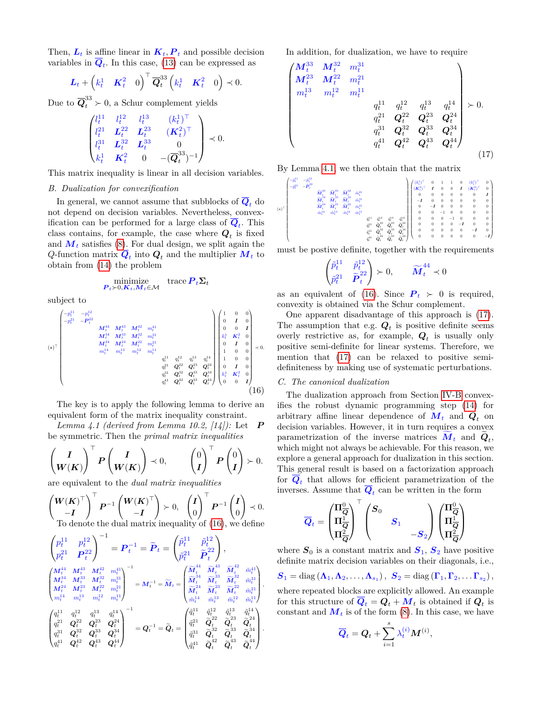Then,  $L_t$  is affine linear in  $K_t$ ,  $P_t$  and possible decision variables in  $Q_t$ . In this case, [\(13\)](#page-3-1) can be expressed as

$$
\boldsymbol{L}_t + \left(k_t^1 \quad \boldsymbol{K}_t^2 \quad 0\right)^\top \overline{\boldsymbol{Q}}_t^{33} \left(k_t^1 \quad \boldsymbol{K}_t^2 \quad 0\right) \prec 0.
$$

Due to  $\overline{Q}^{33}_t \succ 0$ , a Schur complement yields

$$
\begin{pmatrix} l_t^{11} & l_t^{12} & l_t^{13} & (k_t^1)^\top \\ l_t^{21} & L_t^{22} & L_t^{23} & (K_t^2)^\top \\ l_t^{31} & L_t^{32} & L_t^{33} & 0 \\ k_t^1 & K_t^2 & 0 & -(\overline{\mathbf{Q}}_t^{33})^{-1} \end{pmatrix} \prec 0.
$$

This matrix inequality is linear in all decision variables.

### <span id="page-4-3"></span>*B. Dualization for convexification*

In general, we cannot assume that subblocks of  $\overline{Q}_t$  do not depend on decision variables. Nevertheless, convexification can be performed for a large class of *Q<sup>t</sup>* . This class contains, for example, the case where  $Q_t$  is fixed and  $M_t$  satisfies [\(8\)](#page-2-2). For dual design, we split again the  $Q$ -function matrix  $Q_t$  into  $Q_t$  and the multiplier  $M_t$  to obtain from [\(14\)](#page-3-3) the problem

$$
\underset{\mathbf{P}_t \succ 0, \mathbf{K}_t, \mathbf{M}_t \in \mathcal{M}}{\text{minimize}} \text{trace } \mathbf{P}_t \mathbf{\Sigma}_t
$$

subject to

$$
(\star)^{\top} \begin{pmatrix} -p_t^{11} & -p_t^{12} & & & & & & \\ -p_t^{21} & -P_t^{22} & & & & & & \\ & M_t^{44} & M_t^{43} & M_t^{42} & m_t^{41} & & & & \\ & M_t^{34} & M_t^{33} & M_t^{32} & m_t^{31} & & & \\ & M_t^{44} & M_t^{14} & M_t^{22} & m_t^{11} & & & \\ & m_t^{14} & m_t^{13} & m_t^{12} & m_t^{11} & & & \\ & & q_t^{11} & q_t^{12} & q_t^{13} & q_t^{14} & & 1 & 0 & 0 \\ & & & q_t^{21} & Q_t^{22} & Q_t^{23} & Q_t^{24} & 0 & I & 0 \\ & & & & q_t^{31} & Q_t^{32} & Q_t^{34} & Q_t^{44} & 0 & I & 0 \\ & & & & & q_t^{41} & Q_t^{42} & Q_t^{43} & Q_t^{44} & k_t^{12} & K_t^2 & 0 \\ & & & & & & & & & \\ & & & & & & & & & & & \\ \end{pmatrix} \tag{16}
$$

The key is to apply the following lemma to derive an equivalent form of the matrix inequality constraint.

<span id="page-4-1"></span>*Lemma 4.1 (derived from Lemma 10.2, [14]):* Let *P* be symmetric. Then the *primal matrix inequalities*

$$
\left(\frac{I}{W(K)}\right)^{\top} P \left(\frac{I}{W(K)}\right) \prec 0, \qquad \left(\begin{matrix}0\\I\end{matrix}\right)^{\top} P \left(\begin{matrix}0\\I\end{matrix}\right) \succ 0.
$$

are equivalent to the *dual matrix inequalities*

$$
\begin{pmatrix} \mathbf{W}(\mathbf{K})^{\top} \\ -\mathbf{I} \end{pmatrix}^{\top} \mathbf{P}^{-1} \begin{pmatrix} \mathbf{W}(\mathbf{K})^{\top} \\ -\mathbf{I} \end{pmatrix} \succ 0, \quad \begin{pmatrix} \mathbf{I} \\ 0 \end{pmatrix}^{\top} \mathbf{P}^{-1} \begin{pmatrix} \mathbf{I} \\ 0 \end{pmatrix} \prec 0.
$$
  
To denote the dual matrix inequality of (16), we define

$$
\begin{split} \begin{pmatrix} p^{11}_t & p^{12}_t \\ p^{21}_t & P^{22}_t \end{pmatrix}^{-1} &= \boldsymbol{P}_t^{-1} = \widetilde{\boldsymbol{P}}_t = \begin{pmatrix} \tilde{p}^{11}_t & \tilde{p}^{12}_t \\ \tilde{p}^{21}_t & \tilde{\boldsymbol{P}}^2_t \end{pmatrix}, \\ \begin{pmatrix} M^{44}_t & M^{43}_t & M^{42}_t & m^{41}_t \\ M^{34}_t & M^{33}_t & M^{32}_t & m^{31}_t \\ M^{24}_t & M^{33}_t & M^{32}_t & m^{31}_t \\ m^{14}_t & m^{13}_t & M^{32}_t & m^{31}_t \\ m^{14}_t & m^{13}_t & m^{12}_t & m^{11}_t \end{pmatrix}^{-1} &= M^{-1}_t = \widetilde{M}_t = \begin{pmatrix} \widetilde{M}^{44}_t & \widetilde{M}^{43}_t & \widetilde{M}^{42}_t & \tilde{m}^{41}_t \\ \widetilde{M}^{44}_t & \widetilde{M}^{43}_t & \widetilde{M}^{42}_t & \widetilde{M}^{32}_t \\ \widetilde{M}^{44}_t & \widetilde{M}^{42}_t & \widetilde{M}^{43}_t & \widetilde{M}^{42}_t & \widetilde{m}^{41}_t \\ \tilde{m}^{44}_t & \widetilde{m}^{42}_t & \boldsymbol{Q}^{23}_t & \boldsymbol{Q}^{24}_t \\ q^{31}_t & \boldsymbol{Q}^{32}_t & \boldsymbol{Q}^{33}_t & \boldsymbol{Q}^{34}_t \\ q^{41}_t & \boldsymbol{Q}^{42}_t & \boldsymbol{Q}^{43}_t & \boldsymbol{Q}^{44}_t \end{pmatrix}^{-1} &= \boldsymbol{Q}_t^{-1} = \widetilde{\boldsymbol{Q}}_t = \begin{pmatrix} \tilde{q}^{11}_t & \tilde{q}^{12}_t & \tilde{q}^{13}_t & \tilde{q}^{14}_t \\ \tilde{q}^{21}_t & \tilde{Q}^{22}_t & \tilde{Q}^{23}_t & \widetilde{Q}^{24}_t \\ \tilde{q}^{31}_t &
$$

In addition, for dualization, we have to require

$$
\begin{pmatrix}\nM_t^{33} & M_t^{32} & m_t^{31} \\
M_t^{23} & M_t^{22} & m_t^{21} \\
m_t^{13} & m_t^{12} & m_t^{11} \\
 & & & q_t^{11} & q_t^{12} & q_t^{13} & q_t^{14} \\
 & & & q_t^{21} & Q_t^{22} & Q_t^{23} & Q_t^{24} \\
 & & & q_t^{31} & Q_t^{32} & Q_t^{33} & Q_t^{34} \\
 & & & & q_t^{41} & Q_t^{42} & Q_t^{43} & Q_t^{44} \\
 & & & & & q_t^{41} & Q_t^{42} & Q_t^{43} & Q_t^{44}\n\end{pmatrix} \tag{17}
$$

By Lemma [4.1,](#page-4-1) we then obtain that the matrix

$$
(\star)^{\top} \left(\begin{matrix} -\bar{p}^{11}_{1} & -\bar{p}^{12}_{1} \\ -\bar{p}^{21}_{1} & -\bar{P}^{22}_{1} \\ \bar{M}^{14}_{1} & \bar{M}^{13}_{1} & \bar{M}^{12}_{1} & \bar{m}^{12}_{1} \\ \bar{M}^{14}_{1} & \bar{M}^{13}_{1} & \bar{M}^{12}_{1} & \bar{m}^{12}_{1} \\ \bar{M}^{14}_{1} & \bar{M}^{13}_{1} & \bar{M}^{12}_{1} & \bar{m}^{12}_{1} \\ \bar{m}^{14}_{1} & \bar{m}^{13}_{1} & \bar{m}^{12}_{1} & \bar{m}^{11}_{1} \\ \bar{m}^{14}_{1} & \bar{m}^{13}_{1} & \bar{m}^{12}_{1} & \bar{m}^{11}_{1} \\ \bar{m}^{14}_{1} & \bar{m}^{13}_{1} & \bar{m}^{12}_{1} & \bar{m}^{11}_{1} \\ \bar{m}^{14}_{1} & \bar{m}^{12}_{1} & \bar{m}^{12}_{1} & \bar{m}^{11}_{1} \\ \bar{m}^{14}_{1} & \bar{m}^{12}_{1} & \bar{m}^{12}_{1} & \bar{m}^{11}_{1} \\ \bar{m}^{14}_{1} & \bar{m}^{12}_{1} & \bar{m}^{12}_{1} & \bar{m}^{13}_{1} \\ \bar{m}^{14}_{1} & \bar{m}^{12}_{1} & \bar{m}^{13}_{1} & \bar{m}^{14}_{1} \\ \bar{m}^{14}_{1} & \bar{m}^{12}_{1} & \bar{m}^{13}_{1} & \bar{m}^{14}_{1} \\ \bar{m}^{14}_{1} & \bar{m}^{12}_{1} & \bar{m}^{13}_{1} & \bar{m}^{14}_{1} \\ \bar{m}^{14}_{1} & \bar{m}^{12}_{1} & \bar{m}^{13}_{1} & \bar{m}^{14}_{1} \\ \bar{m}^{14}_{1} & \bar{m}^{12}_{1} & \bar{m}^{13}_{1} & \bar{m}^{14}_{1} \\ \bar{m}^{14}_{1} & \bar{m}^{12}_{1
$$

must be postive definite, together with the requirements

<span id="page-4-2"></span>
$$
\begin{pmatrix} \tilde{p}_t^{11} & \tilde{p}_t^{12} \\ \tilde{p}_t^{21} & \tilde{P}_t^{22} \end{pmatrix} \succ 0, \qquad \widetilde{M}_t^{44} \prec 0
$$

as an equivalent of [\(16\)](#page-4-0). Since  $P_t > 0$  is required, convexity is obtained via the Schur complement.

One apparent disadvantage of this approach is [\(17\)](#page-4-2). The assumption that e.g.  $Q_t$  is positive definite seems overly restrictive as, for example,  $Q_t$  is usually only positive semi-definite for linear systems. Therefore, we mention that [\(17\)](#page-4-2) can be relaxed to positive semidefiniteness by making use of systematic perturbations.

### <span id="page-4-4"></span><span id="page-4-0"></span>*C. The canonical dualization*

The dualization approach from Section [IV-B](#page-4-3) convexifies the robust dynamic programming step [\(14\)](#page-3-3) for arbitrary affine linear dependence of  $M_t$  and  $Q_t$  on decision variables. However, it in turn requires a convex parametrization of the inverse matrices  $M_t$  and  $Q_t$ , which might not always be achievable. For this reason, we explore a general approach for dualization in this section. This general result is based on a factorization approach for  $Q_t$  that allows for efficient parametrization of the inverses. Assume that  $Q_t$  can be written in the form

$$
\overline{Q}_t = \begin{pmatrix} \Pi_{\overline{Q}}^0 \\ \Pi_{\overline{Q}}^1 \\ \Pi_{\overline{Q}}^2 \end{pmatrix}^\top \begin{pmatrix} S_0 & & \\ & S_1 & \\ & & -S_2 \end{pmatrix} \begin{pmatrix} \Pi_{\overline{Q}}^0 \\ \Pi_{\overline{Q}}^1 \\ \Pi_{\overline{Q}}^2 \end{pmatrix}
$$

where  $S_0$  is a constant matrix and  $S_1$ ,  $S_2$  have positive definite matrix decision variables on their diagonals, i.e.,

$$
\boldsymbol{S}_{1}=\text{diag}\left(\boldsymbol{\Lambda}_{1},\boldsymbol{\Lambda}_{2},\ldots,\boldsymbol{\Lambda}_{s_{1}}\right),\ \boldsymbol{S}_{2}=\text{diag}\left(\boldsymbol{\Gamma}_{1},\boldsymbol{\Gamma}_{2},\ldots\boldsymbol{\Gamma}_{s_{2}}\right),
$$

where repeated blocks are explicitly allowed. An example for this structure of  $Q_t = Q_t + M_t$  is obtained if  $Q_t$  is constant and  $M_t$  is of the form [\(8\)](#page-2-2). In this case, we have

$$
\overline{\boldsymbol{Q}}_t = \boldsymbol{Q}_t + \sum_{i=1}^s \lambda_t^{(i)} \boldsymbol{M}^{(i)},
$$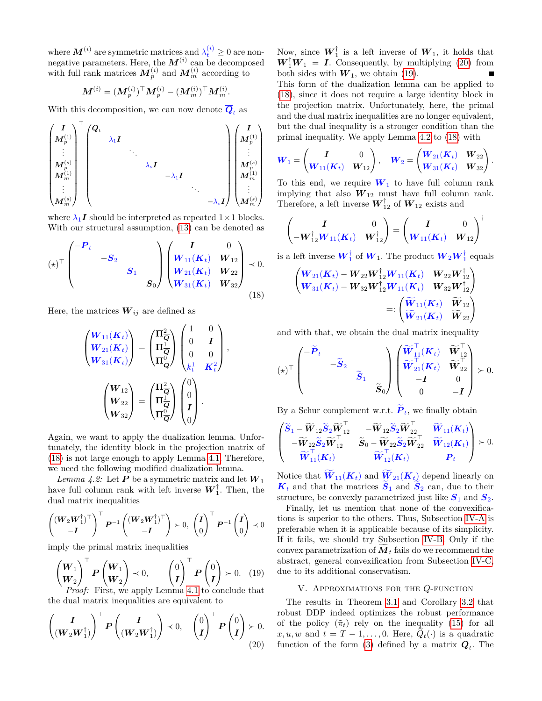where  $\mathbf{M}^{(i)}$  are symmetric matrices and  $\lambda_t^{(i)} \geq 0$  are nonnegative parameters. Here, the  $M^{(i)}$  can be decomposed with full rank matrices  $M_p^{(i)}$  and  $M_m^{(i)}$  according to

$$
\boldsymbol{M}^{(i)} = (\boldsymbol{M}_p^{(i)})^\top \boldsymbol{M}_p^{(i)} - (\boldsymbol{M}_m^{(i)})^\top \boldsymbol{M}_m^{(i)}.
$$

With this decomposition, we can now denote  $\overline{Q}_t$  as

$$
\begin{pmatrix} \boldsymbol{I} \\ M_p^{(1)} \\ \vdots \\ M_p^{(s)} \\ M_m^{(1)} \\ \vdots \\ M_m^{(s)} \end{pmatrix}^\top \begin{pmatrix} \boldsymbol{Q}_t & & & & & \\ & \lambda_1 \boldsymbol{I} & & & & \\ & & \ddots & & & \\ & & & \lambda_s \boldsymbol{I} & & \\ & & & & \ddots & \\ & & & & & \ddots & \\ & & & & & & \ddots \\ & & & & & & & \ddots \\ & & & & & & & \ddots \\ & & & & & & & \ddots \\ & & & & & & & & \ddots \\ & & & & & & & & \ddots \\ & & & & & & & & \ddots \\ & & & & & & & & \ddots \\ & & & & & & & & \ddots \end{pmatrix} \begin{pmatrix} \boldsymbol{I} \\ M_p^{(1)} \\ \vdots \\ M_p^{(s)} \\ \vdots \\ M_m^{(s)} \\ \vdots \\ M_m^{(s)} \end{pmatrix}
$$

where  $\lambda_1 I$  should be interpreted as repeated  $1 \times 1$  blocks. With our structural assumption, [\(13\)](#page-3-1) can be denoted as

$$
(\star)^{\top} \begin{pmatrix} -P_t & & & \\ & -S_2 & & \\ & & S_1 & \\ & & & S_0 \end{pmatrix} \begin{pmatrix} I & 0 \\ W_{11}(K_t) & W_{12} \\ W_{21}(K_t) & W_{22} \\ W_{31}(K_t) & W_{32} \end{pmatrix} \prec 0.
$$
\n(18)

Here, the matrices  $W_{ij}$  are defined as

$$
\begin{pmatrix} W_{11}(K_t) \\ W_{21}(K_t) \\ W_{31}(K_t) \end{pmatrix} = \begin{pmatrix} \Pi_{\overline{Q}}^2 \\ \Pi_{\overline{Q}}^1 \\ \Pi_{\overline{Q}}^0 \end{pmatrix} \begin{pmatrix} 1 & 0 \\ 0 & I \\ 0 & 0 \\ k_t^1 & K_t^2 \end{pmatrix},
$$

$$
\begin{pmatrix} W_{12} \\ W_{22} \\ W_{32} \end{pmatrix} = \begin{pmatrix} \Pi_{\overline{Q}}^2 \\ \Pi_{\overline{Q}}^1 \\ \Pi_{\overline{Q}}^0 \end{pmatrix} \begin{pmatrix} 0 \\ 0 \\ I \\ 0 \end{pmatrix}.
$$

Again, we want to apply the dualization lemma. Unfortunately, the identity block in the projection matrix of [\(18\)](#page-5-1) is not large enough to apply Lemma [4.1.](#page-4-1) Therefore, we need the following modified dualization lemma.

<span id="page-5-4"></span>*Lemma 4.2:* Let **P** be a symmetric matrix and let  $W_1$ have full column rank with left inverse  $W_1^{\dagger}$ . Then, the dual matrix inequalities

$$
\begin{pmatrix} (\boldsymbol{W}_2 \boldsymbol{W}_1^{\dagger})^{\top} \\ -\boldsymbol{I} \end{pmatrix}^{\top} \boldsymbol{P}^{-1} \begin{pmatrix} (\boldsymbol{W}_2 \boldsymbol{W}_1^{\dagger})^{\top} \\ -\boldsymbol{I} \end{pmatrix} \succ 0, \ \begin{pmatrix} \boldsymbol{I} \\ 0 \end{pmatrix}^{\top} \boldsymbol{P}^{-1} \begin{pmatrix} \boldsymbol{I} \\ 0 \end{pmatrix} \prec 0
$$

imply the primal matrix inequalities

$$
\begin{pmatrix} \mathbf{W}_1 \\ \mathbf{W}_2 \end{pmatrix}^\top \mathbf{P} \begin{pmatrix} \mathbf{W}_1 \\ \mathbf{W}_2 \end{pmatrix} \prec 0, \qquad \begin{pmatrix} 0 \\ I \end{pmatrix}^\top \mathbf{P} \begin{pmatrix} 0 \\ I \end{pmatrix} \succ 0. \tag{19}
$$
  
*Proof:* First, we apply Lemma 4.1 to conclude that

the dual matrix inequalities are equivalent to

$$
\left(\begin{matrix}\nI \\
\left(W_2 W_1^{\dagger}\right)\n\end{matrix}\right)^{\top} P \left(\begin{matrix}\nI \\
\left(W_2 W_1^{\dagger}\right)\n\end{matrix}\right) \prec 0, \quad\n\begin{pmatrix}\n0 \\
I\n\end{pmatrix}^{\top} P \left(\begin{matrix}\n0 \\
I\n\end{matrix}\right) \succ 0.
$$
\n(20)

Now, since  $\boldsymbol{W}_1^{\dagger}$  is a left inverse of  $\boldsymbol{W}_1$ , it holds that  $W_1^{\dagger}W_1 = I$ . Consequently, by multiplying [\(20\)](#page-5-2) from both sides with  $W_1$ , we obtain [\(19\)](#page-5-3).  $\blacksquare$ This form of the dualization lemma can be applied to

[\(18\)](#page-5-1), since it does not require a large identity block in the projection matrix. Unfortunately, here, the primal and the dual matrix inequalities are no longer equivalent, but the dual inequality is a stronger condition than the primal inequality. We apply Lemma [4.2](#page-5-4) to [\(18\)](#page-5-1) with

$$
\bm{W}_1 = \begin{pmatrix} \bm{I} & 0 \\ \bm{W}_{11}(\bm{K}_t) & \bm{W}_{12} \end{pmatrix}, \quad \bm{W}_2 = \begin{pmatrix} \bm{W}_{21}(\bm{K}_t) & \bm{W}_{22} \\ \bm{W}_{31}(\bm{K}_t) & \bm{W}_{32} \end{pmatrix}.
$$

To this end, we require  $W_1$  to have full column rank implying that also  $W_{12}$  must have full column rank. Therefore, a left inverse  $W_{12}^{\dagger}$  of  $W_{12}$  exists and

$$
\begin{pmatrix} I & 0 \ -W_{12}^{\dagger} W_{11}(K_t) & W_{12}^{\dagger} \end{pmatrix} = \begin{pmatrix} I & 0 \ W_{11}(K_t) & W_{12} \end{pmatrix}^{\dagger}
$$

<span id="page-5-1"></span>is a left inverse  $\boldsymbol{W}_1^{\dagger}$  of  $\boldsymbol{W}_1$ . The product  $\boldsymbol{W}_2 \boldsymbol{W}_1^{\dagger}$  equals

$$
\begin{pmatrix}\nW_{21}(K_t) - W_{22}W_{12}^{\dagger}W_{11}(K_t) & W_{22}W_{12}^{\dagger} \\
W_{31}(K_t) - W_{32}W_{12}^{\dagger}W_{11}(K_t) & W_{32}W_{12}^{\dagger}\n\end{pmatrix}\n=:\n\begin{pmatrix}\n\widetilde{W}_{11}(K_t) & \widetilde{W}_{12} \\
\widetilde{W}_{21}(K_t) & \widetilde{W}_{22}\n\end{pmatrix}
$$

and with that, we obtain the dual matrix inequality

$$
(\star)^\top \begin{pmatrix} -\widetilde{P}_t & & & \\ & -\widetilde{S}_2 & & \\ & & \widetilde{S}_1 & \\ & & & \widetilde{S}_0 \end{pmatrix} \begin{pmatrix} \widetilde{W}_{11}^\top(\boldsymbol{K}_t) & \widetilde{W}_{12}^\top \\ \widetilde{W}_{21}^\top(\boldsymbol{K}_t) & \widetilde{W}_{22}^\top \\ & -\boldsymbol{I} & 0 \\ 0 & -\boldsymbol{I} \end{pmatrix} \succ 0.
$$

By a Schur complement w.r.t.  $\tilde{P}_t$ , we finally obtain

$$
\begin{pmatrix}\n\widetilde{\mathbf{S}}_1 - \widetilde{\mathbf{W}}_{12} \widetilde{\mathbf{S}}_2 \widetilde{\mathbf{W}}_{12}^\top & -\widetilde{\mathbf{W}}_{12} \widetilde{\mathbf{S}}_2 \widetilde{\mathbf{W}}_{22}^\top & \widetilde{\mathbf{W}}_{11}(\mathbf{K}_t) \\
-\widetilde{\mathbf{W}}_{22} \widetilde{\mathbf{S}}_2 \widetilde{\mathbf{W}}_{12}^\top & \widetilde{\mathbf{S}}_0 - \widetilde{\mathbf{W}}_{22} \widetilde{\mathbf{S}}_2 \widetilde{\mathbf{W}}_{22}^\top & \widetilde{\mathbf{W}}_{12}(\mathbf{K}_t) \\
\widetilde{\mathbf{W}}_{11}^\top(\mathbf{K}_t) & \widetilde{\mathbf{W}}_{12}^\top(\mathbf{K}_t) & \mathbf{P}_t\n\end{pmatrix} \succ 0.
$$

Notice that  $\widetilde{W}_{11}(K_t)$  and  $\widetilde{W}_{21}(K_t)$  depend linearly on  $K_t$  and that the matrices  $S_1$  and  $S_2$  can, due to their structure, be convexly parametrized just like  $S_1$  and  $S_2$ .

Finally, let us mention that none of the convexifications is superior to the others. Thus, Subsection [IV-A](#page-3-4) is preferable when it is applicable because of its simplicity. If it fails, we should try Subsection [IV-B.](#page-4-3) Only if the convex parametrization of  $\tilde{M}_t$  fails do we recommend the abstract, general convexification from Subsection [IV-C,](#page-4-4) due to its additional conservatism.

### V. Approximations for the *Q*-function

<span id="page-5-3"></span><span id="page-5-2"></span><span id="page-5-0"></span>The results in Theorem [3.1](#page-3-0) and Corollary [3.2](#page-3-5) that robust DDP indeed optimizes the robust performance of the policy  $(\tilde{\pi}_t)$  rely on the inequality [\(15\)](#page-3-6) for all  $x, u, w$  and  $t = T - 1, \ldots, 0$ . Here,  $Q_t(\cdot)$  is a quadratic function of the form [\(3\)](#page-1-3) defined by a matrix  $Q_t$ . The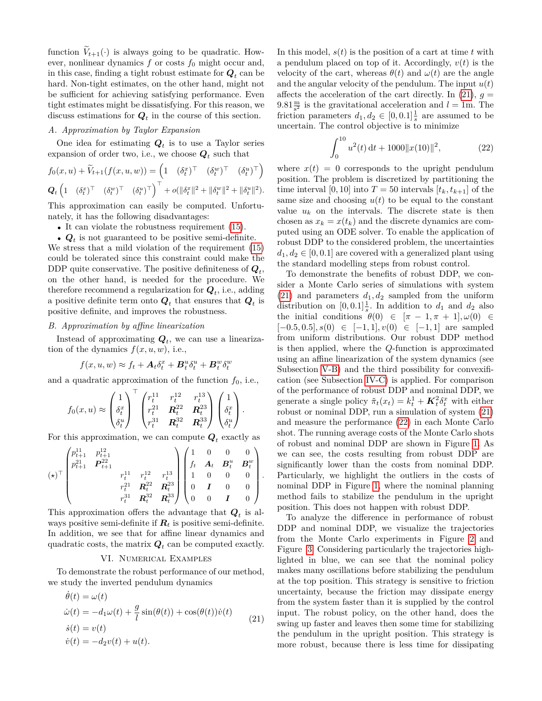function  $V_{t+1}(\cdot)$  is always going to be quadratic. However, nonlinear dynamics  $f$  or costs  $f_0$  might occur and, in this case, finding a tight robust estimate for  $Q_t$  can be hard. Non-tight estimates, on the other hand, might not be sufficient for achieving satisfying performance. Even tight estimates might be dissatisfying. For this reason, we discuss estimations for  $Q_t$  in the course of this section.

### *A. Approximation by Taylor Expansion*

One idea for estimating  $Q_t$  is to use a Taylor series expansion of order two, i.e., we choose  $Q_t$  such that

$$
f_0(x, u) + \widetilde{V}_{t+1}(f(x, u, w)) = \left(1 \quad (\delta_t^x)^\top \quad (\delta_t^w)^\top \quad (\delta_t^u)^\top\right)
$$
  

$$
Q_t \left(1 \quad (\delta_t^x)^\top \quad (\delta_t^w)^\top \quad (\delta_t^u)^\top\right)^\top + o(\|\delta_t^x\|^2 + \|\delta_t^w\|^2 + \|\delta_t^u\|^2).
$$

This approximation can easily be computed. Unfortunately, it has the following disadvantages:

• It can violate the robustness requirement  $(15)$ .

•  $Q_t$  is not guaranteed to be positive semi-definite.

We stress that a mild violation of the requirement [\(15\)](#page-3-6) could be tolerated since this constraint could make the DDP quite conservative. The positive definiteness of  $Q_t$ , on the other hand, is needed for the procedure. We therefore recommend a regularization for  $Q_t$ , i.e., adding a positive definite term onto  $Q_t$  that ensures that  $Q_t$  is positive definite, and improves the robustness.

## <span id="page-6-1"></span>*B. Approximation by affine linearization*

Instead of approximating  $Q_t$ , we can use a linearization of the dynamics  $f(x, u, w)$ , i.e.,

$$
f(x, u, w) \approx f_t + A_t \delta_t^x + B_t^u \delta_t^u + B_t^w \delta_t^w
$$

and a quadratic approximation of the function  $f_0$ , i.e.,

$$
f_0(x,u) \approx \begin{pmatrix} 1 \\ \delta_t^x \\ \delta_t^u \end{pmatrix}^\top \begin{pmatrix} r_t^{11} & r_t^{12} & r_t^{13} \\ r_t^{21} & \mathbf{R}_t^{22} & \mathbf{R}_t^{23} \\ r_t^{31} & \mathbf{R}_t^{32} & \mathbf{R}_t^{33} \end{pmatrix} \begin{pmatrix} 1 \\ \delta_t^x \\ \delta_t^u \end{pmatrix}.
$$

For this approximation, we can compute  $Q_t$  exactly as

$$
(\star)^{\top} \begin{pmatrix} p_{t+1}^{11} & p_{t+1}^{12} & & & \\ p_{t+1}^{21} & P_{t+1}^{22} & & & \\ & & r_t^{11} & r_t^{12} & r_t^{13} \\ & & & r_t^{21} & R_t^{22} & R_t^{23} \\ & & & r_t^{31} & R_t^{32} & R_t^{33} \end{pmatrix} \begin{pmatrix} 1 & 0 & 0 & 0 \\ f_t & A_t & B_t^u & B_t^w \\ 1 & 0 & 0 & 0 \\ 0 & I & 0 & 0 \\ 0 & 0 & I & 0 \end{pmatrix}.
$$

This approximation offers the advantage that *Q<sup>t</sup>* is always positive semi-definite if  $R_t$  is positive semi-definite. In addition, we see that for affine linear dynamics and quadratic costs, the matrix  $Q_t$  can be computed exactly.

### VI. Numerical Examples

<span id="page-6-3"></span>To demonstrate the robust performance of our method, we study the inverted pendulum dynamics

$$
\dot{\theta}(t) = \omega(t)
$$
  
\n
$$
\dot{\omega}(t) = -d_1\omega(t) + \frac{g}{l}\sin(\theta(t)) + \cos(\theta(t))\dot{v}(t)
$$
  
\n
$$
\dot{s}(t) = v(t)
$$
  
\n
$$
\dot{v}(t) = -d_2v(t) + u(t).
$$
\n(21)

In this model,  $s(t)$  is the position of a cart at time  $t$  with a pendulum placed on top of it. Accordingly, *v*(*t*) is the velocity of the cart, whereas  $\theta(t)$  and  $\omega(t)$  are the angle and the angular velocity of the pendulum. The input *u*(*t*) affects the acceleration of the cart directly. In  $(21)$ ,  $q =$  $9.81 \frac{\text{m}}{\text{s}^2}$  is the gravitational acceleration and  $l = 1 \text{m}$ . The friction parameters  $d_1, d_2 \in [0, 0.1] \frac{1}{s}$  are assumed to be uncertain. The control objective is to minimize

<span id="page-6-2"></span>
$$
\int_0^{10} u^2(t) dt + 1000 ||x(10)||^2,
$$
 (22)

where  $x(t) = 0$  corresponds to the upright pendulum position. The problem is discretized by partitioning the time interval [0, 10] into  $T = 50$  intervals  $[t_k, t_{k+1}]$  of the same size and choosing  $u(t)$  to be equal to the constant value  $u_k$  on the intervals. The discrete state is then chosen as  $x_k = x(t_k)$  and the discrete dynamics are computed using an ODE solver. To enable the application of robust DDP to the considered problem, the uncertainties  $d_1, d_2 \in [0, 0.1]$  are covered with a generalized plant using the standard modelling steps from robust control.

To demonstrate the benefits of robust DDP, we consider a Monte Carlo series of simulations with system  $(21)$  and parameters  $d_1, d_2$  sampled from the uniform distribution on  $[0, 0.1] \frac{1}{s}$ . In addition to  $d_1$  and  $d_2$  also the initial conditions  $\theta(0) \in [\pi - 1, \pi + 1], \omega(0) \in$ [−0*.*5*,* 0*.*5]*, s*(0) ∈ [−1*,* 1]*, v*(0) ∈ [−1*,* 1] are sampled from uniform distributions. Our robust DDP method is then applied, where the *Q*-function is approximated using an affine linearization of the system dynamics (see Subsection [V-B\)](#page-6-1) and the third possibility for convexification (see Subsection [IV-C\)](#page-4-4) is applied. For comparison of the performance of robust DDP and nominal DDP, we generate a single policy  $\tilde{\pi}_t(x_t) = k_t^1 + \mathbf{K}_t^2 \delta_t^x$  with either robust or nominal DDP, run a simulation of system [\(21\)](#page-6-0) and measure the performance [\(22\)](#page-6-2) in each Monte Carlo shot. The running average costs of the Monte Carlo shots of robust and nominal DDP are shown in Figure [1.](#page-7-0) As we can see, the costs resulting from robust DDP are significantly lower than the costs from nominal DDP. Particularly, we highlight the outliers in the costs of nominal DDP in Figure [1,](#page-7-0) where the nominal planning method fails to stabilize the pendulum in the upright position. This does not happen with robust DDP.

<span id="page-6-0"></span>To analyze the difference in performance of robust DDP and nominal DDP, we visualize the trajectories from the Monte Carlo experiments in Figure [2](#page-7-1) and Figure [3.](#page-7-2) Considering particularly the trajectories highlighted in blue, we can see that the nominal policy makes many oscillations before stabilizing the pendulum at the top position. This strategy is sensitive to friction uncertainty, because the friction may dissipate energy from the system faster than it is supplied by the control input. The robust policy, on the other hand, does the swing up faster and leaves then some time for stabilizing the pendulum in the upright position. This strategy is more robust, because there is less time for dissipating